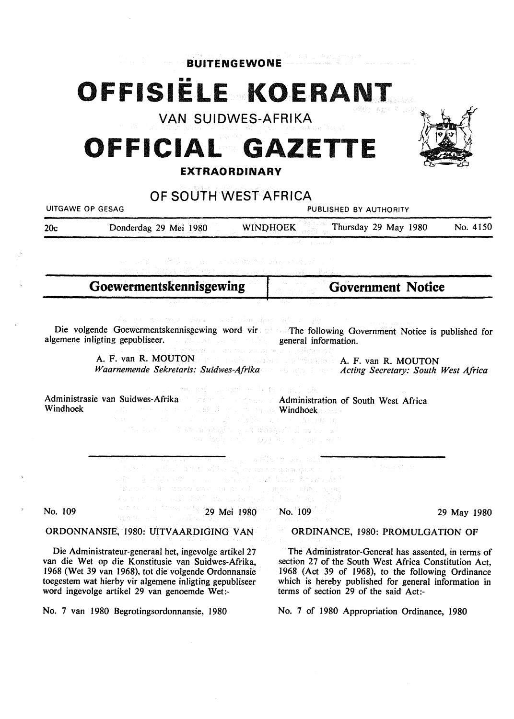**BUITENGEWONE** 

# OFFISIËLE KOERANT

**VAN SUIDWES-AFRIKA** 

### **OFFICIAL GAZETTE EXTRAORDINARY**



### **OF SOUTH WEST AFRICA**

UITGAWE OP GESAG PUBLISHED BY AUTHORITY

| 20c | Donderdag 29 Mei 1980 | <b>WINDHOEK</b> | Thursday 29 May 1980 |  | No. 4150 |
|-----|-----------------------|-----------------|----------------------|--|----------|
|     |                       |                 |                      |  |          |

**Goewermentskennisgewing** 

**Government Notice** 

Die volgende Goewermentskennisgewing word vir allem The following Government Notice is published for algemene inligting gepubliseer. general information.

A. F. van **R. MOUTON**  A. F. van R. MOUTON

*Waarnemende Sekretaris: Suidwes-Afrika Acting Secretary: South West Africa* 

2008年 6月 10月 10月 Administrasie van Suidwes-Afrika Administration of South West Africa Windhoek Windhoekspaper is a state of **Windhoek**spaper

101 Year Hallacene เมืองนาย Trage provide

្នាក់ ជា និង ស្នង់មាន (b) ការ នៃ សារធ្វើអង្គការរៀបថា  $\sim \sqrt{3} \sin(2\beta)/2$ **Basic braw** et al. Albumki atzailuar punai belebak No. 109 29 Mei 1980 No. 109 29 May 1980

**ORDONNANSIE,** 1980: **UITVAARDIGING VAN** 

Die Administrateur-generaal het, ingevolge artikel 27 van die Wet op die Konstitusie van Suidwes-Afrika, 1968 (Wet 39 van 1968), tot die volgende Ordonnansie toegestem wat hierby vir algemene inligting gepubliseer word ingevolge artikel 29 van genoemde Wet:-

No. 7 van 1980 Begrotingsordonnansie, 1980

ORDINANCE, 1980: PROMULGATION OF

The Administrator-General has assented, in terms of section 27 of the South West Africa Constitution Act, 1968 (Act 39 of 1968), to the following Ordinance which is hereby published for general information in terms of section 29 of the said Act:-

No. 7 of 1980 Appropriation Ordinance, 1980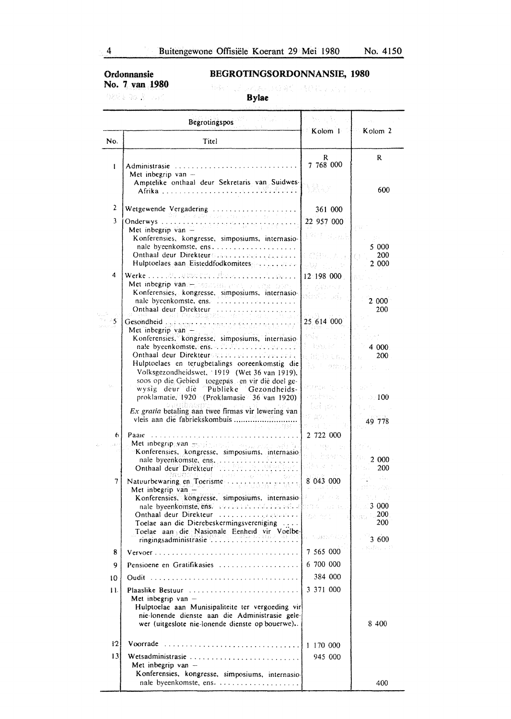**Ordonnansie No. 7 van 1980** 

#### **BEGROTINGSORDONNANSIE, 1980**

**08% \$ 30 \$ 1535** 

事情的,是否不愿意,这就算你一直提到,必须写真一定是否

|         | <b>Begrotingspos</b><br>$\triangleright$ Kolom 1 $\cdot$ Kolom 2                                                                   |                                     |                                                                                 |  |  |
|---------|------------------------------------------------------------------------------------------------------------------------------------|-------------------------------------|---------------------------------------------------------------------------------|--|--|
| No.     | Titel                                                                                                                              |                                     |                                                                                 |  |  |
| ŧ       | Administrasie $\ldots \ldots \ldots \ldots \ldots \ldots$<br>Met inbegrip van $-$                                                  | R<br>7 768 000                      | R                                                                               |  |  |
|         | Amptelike onthaal deur Sekretaris van Suidwes-                                                                                     |                                     | 600                                                                             |  |  |
| 2       | Wetgewende Vergadering                                                                                                             | 361 000                             |                                                                                 |  |  |
| 3       | 여러 그는 조절한 기소를 고르고 있                                                                                                                | 22 957 000                          |                                                                                 |  |  |
|         | Konferensies, kongresse, simposiums, internasio-                                                                                   | 1944 年前五九                           | 5 000                                                                           |  |  |
|         |                                                                                                                                    | 希望心,因此                              | <b>200</b><br>€Ŧ.                                                               |  |  |
|         | Hulptoelaes aan Eisteddfodkomitees                                                                                                 | <b>SW</b> discus                    | 2.000                                                                           |  |  |
| 4       | Werke $\dots$ . At interaction the series in the space.<br>Met inbegrip vanstellepadamente and management                          | 12 198 000<br>(《安全科学》)              |                                                                                 |  |  |
|         | Konferensies, kongresse, simposiums, internasio-                                                                                   | alari Dah                           |                                                                                 |  |  |
|         | nale byeenkomste, ens.<br>Onthaal deur Direkteur<br>.                                                                              |                                     | 2 000<br>200                                                                    |  |  |
| -5      | AN PO DESTREATOR<br>Gesondheid and conservative conservative                                                                       | 25 614 000                          |                                                                                 |  |  |
|         | Met inbegrip van $-$                                                                                                               | sniv - Louis                        |                                                                                 |  |  |
|         | Konferensies, kongresse, simposiums, internasio-<br>nale byeenkomste, ens. A. P. M. Louis and you and                              | 特性 医心房                              | 4 000                                                                           |  |  |
|         | Onthaal deur Direkteurs auf man an an an an an an                                                                                  | ( ) ( ) ( ) ( ) ( ) ( ) ( ) ( ) ( ) | 200<br>All Bar                                                                  |  |  |
|         | Hulptoelaes en terugbetalings ooreenkomstig die<br>Volksgezondheidswet. 1919 (Wet 36 van 1919).                                    | be the mangle of                    |                                                                                 |  |  |
|         | soos op die Gebied toegepas en vir dié doel ge-                                                                                    |                                     |                                                                                 |  |  |
|         | wysig deur die Publieke Gezondheids-                                                                                               |                                     | ः । 100                                                                         |  |  |
|         | proklamatie, 1920 (Proklamasie 36 van 1920)                                                                                        | tui lope r                          |                                                                                 |  |  |
|         | Ex gratia betaling aan twee firmas vir lewering van<br>vleis aan die fabriekskombuis                                               |                                     | 49 778                                                                          |  |  |
|         |                                                                                                                                    |                                     |                                                                                 |  |  |
| 6.      | Paaie<br>Met inbegripgyan sprofit, organisation and an                                                                             | 2 722 000                           |                                                                                 |  |  |
|         | Konferensies, kongresse, simposiums, internasio-                                                                                   |                                     | 2 000                                                                           |  |  |
|         | nale byeenkomste, ens.                                                                                                             |                                     | 200                                                                             |  |  |
| 7.      | 어때 가루 모든 화제<br>Natuurbewaring en Toerisme                                                                                          | 8 043 000                           | $\alpha \in \mathbb{R}^d$ , $\beta \in \mathbb{R}^d$ , $\beta \in \mathbb{R}^d$ |  |  |
|         | Met inbegrip van<br><b>Ret indegrip value</b><br>Konferensies, kongresse, simposiums, internasio- <b>de serves and allegations</b> | and Calle                           | U BATTE SANY                                                                    |  |  |
|         | nale byeenkomste, ens. ever are readed to add a formal and and                                                                     |                                     | 3000                                                                            |  |  |
|         |                                                                                                                                    |                                     |                                                                                 |  |  |
|         | Toelae aan die Dierebeskermingsvereniging<br>Toelae aan die Nasionale Eenheid vir Voelbe-                                          |                                     | 200                                                                             |  |  |
|         | ringingsadministrasie                                                                                                              | a in deposition                     | 3 600                                                                           |  |  |
| 8       |                                                                                                                                    | 7 565 000                           | . Kufin, 19                                                                     |  |  |
| 9       | Pensioene en Gratifikasies                                                                                                         | 6 700 000                           |                                                                                 |  |  |
| 10      |                                                                                                                                    | 384 000                             |                                                                                 |  |  |
| 11.     | Plaaslike Bestuur<br>Met inbegrip van $-$<br>Hulptoelae aan Munisipaliteite ter vergoeding vir                                     | 3 3 7 1 0 0 0                       |                                                                                 |  |  |
|         | nie-lonende dienste aan die Administrasie gele-<br>wer (uitgeslote nie-lonende dienste op bouerwe)                                 |                                     | 8 4 0 0                                                                         |  |  |
| $12 \,$ | Voorrade                                                                                                                           | 1 170 000                           |                                                                                 |  |  |
| 13      |                                                                                                                                    | 945 000                             |                                                                                 |  |  |
|         | Met inbegrip van -                                                                                                                 |                                     |                                                                                 |  |  |
|         | Konferensies, kongresse, simposiums, internasio-                                                                                   |                                     | 400                                                                             |  |  |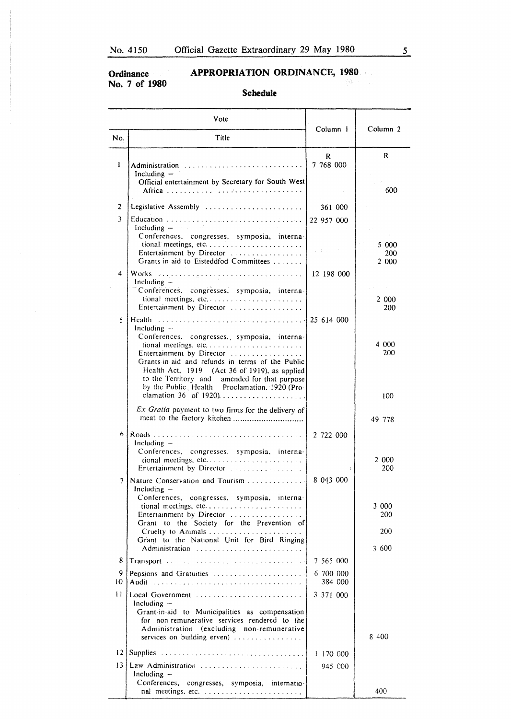**Ordinance**  No. 7 of **1980** 

#### **APPROPRIATION ORDINANCE, 1980**

#### **Schedule**

|                 | Vote                                                                                                                                                                                                                                                                                                                     | Column 1                  | Column <sub>2</sub>          |  |
|-----------------|--------------------------------------------------------------------------------------------------------------------------------------------------------------------------------------------------------------------------------------------------------------------------------------------------------------------------|---------------------------|------------------------------|--|
| No.             | Title                                                                                                                                                                                                                                                                                                                    |                           |                              |  |
| 1               | Administration<br>Including $-$<br>Official entertainment by Secretary for South West<br>Africa                                                                                                                                                                                                                          | $\mathbf{R}$<br>7 768 000 | R<br>600                     |  |
|                 |                                                                                                                                                                                                                                                                                                                          |                           |                              |  |
| $\overline{2}$  | Legislative Assembly                                                                                                                                                                                                                                                                                                     | 361 000                   |                              |  |
| 3               | Including $  -$<br>Conferences, congresses, symposia, interna-<br>tional meetings, etc<br>Entertainment by Director<br>Grants in aid to Eisteddfod Committees                                                                                                                                                            | 22 957 000<br>受体的な こうかい   | 5 000<br>200<br>2 000        |  |
| 4               | Including $-$                                                                                                                                                                                                                                                                                                            | 12 198 000                |                              |  |
|                 | Conferences, congresses, symposia, interna-<br>tional meetings, etc<br>Entertainment by Director                                                                                                                                                                                                                         |                           | 2 000<br>200                 |  |
| 5               | Including $-$<br>Conferences, congresses, symposia, interna-<br>tional meetings, etc<br>Entertainment by Director<br>Grants in aid and refunds in terms of the Public<br>Health Act, 1919 (Act 36 of 1919), as applied<br>to the Territory and amended for that purpose<br>by the Public Health Proclamation, 1920 (Pro- |                           | 4 000<br>200                 |  |
|                 | clamation 36 of 1920)                                                                                                                                                                                                                                                                                                    |                           | 100                          |  |
|                 | Ex Gratia payment to two firms for the delivery of                                                                                                                                                                                                                                                                       |                           | 49 778                       |  |
| 6.              | Including $-$<br>Conferences, congresses, symposia, interna-<br>Entertainment by Director                                                                                                                                                                                                                                | 2 722 000                 | 2 000<br>200                 |  |
| 7               | Nature Conservation and Tourism<br>Including $-$<br>Conferences, congresses, symposia, interna-<br>Entertainment by Director<br>Grant to the Society for the Prevention of<br>Grant to the National Unit for Bird Ringing<br>Administration                                                                              | 8 043 000                 | 3 000<br>200<br>200<br>3 600 |  |
| 8               | Transport                                                                                                                                                                                                                                                                                                                | 7 565 000                 |                              |  |
| 9<br>10         | Pensions and Gratuities                                                                                                                                                                                                                                                                                                  | 6 700 000<br>384 000      |                              |  |
| $\mathbf{1}$    | Including $-$<br>Grant-in-aid to Municipalities as compensation<br>for non-remunerative services rendered to the<br>Administration (excluding non-remunerative<br>services on building erven)                                                                                                                            | 3 3 7 1 0 0 0             | 8 400                        |  |
| 12 <sup>2</sup> |                                                                                                                                                                                                                                                                                                                          | 1 170 000                 |                              |  |
| 13              | Law Administration<br>Including $-$                                                                                                                                                                                                                                                                                      | 945 000                   |                              |  |
|                 | Conferences, congresses, symposia, internatio-<br>nal meetings, etc.                                                                                                                                                                                                                                                     |                           | 400                          |  |

 $\mathcal{C}_{\mathrm{Q}} \S_{\mathrm{A}}$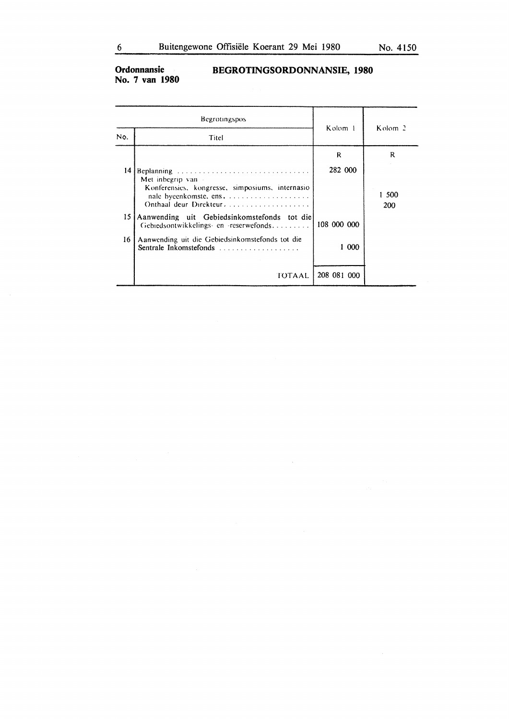#### Ordonnansie<br>No. 7 van 1980 BEGROTINGSORDONNANSIE, 1980

|     | Begrotingspos                                                                                                  |             | Kolom 2      |  |
|-----|----------------------------------------------------------------------------------------------------------------|-------------|--------------|--|
| No. | Titel                                                                                                          | Kolom 1     |              |  |
|     |                                                                                                                | R           | R            |  |
| 14  | Beplanning<br>Met inbegrip van -<br>Konferensies, kongresse, simposiums, internasio<br>Onthaal deur Direkteur, | 282 000     | 1 500<br>200 |  |
| 15  | Aanwending uit Gebiedsinkomstefonds tot die<br>Gebiedsontwikkelings- en -reserwefonds                          | 108 000 000 |              |  |
| 16  | Aanwending uit die Gebiedsinkomstefonds tot die                                                                | 1 000       |              |  |
|     | TOTAAL                                                                                                         | 208 081 000 |              |  |

 $\bar{\lambda}$ 

 $\sim$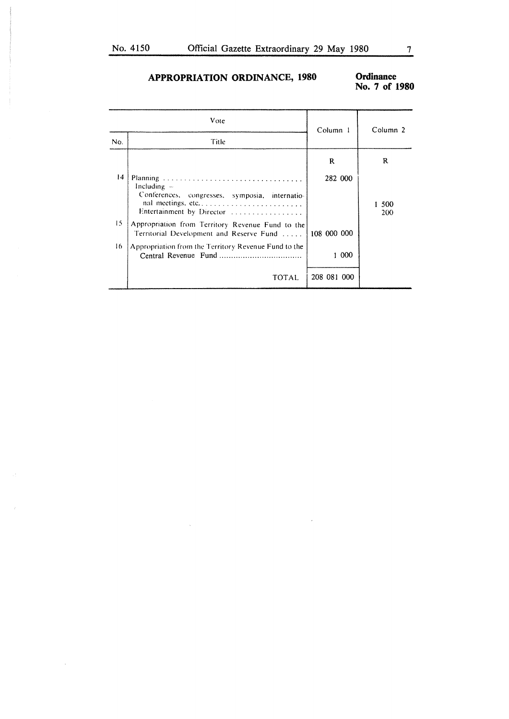#### **APPROPRIATION ORDINANCE, 1980**

## Ordinance<br>No. 7 of 1980

| Vote |                                                                                                                   | Column 1    | Column 2   |  |
|------|-------------------------------------------------------------------------------------------------------------------|-------------|------------|--|
| No.  | Title                                                                                                             |             |            |  |
|      |                                                                                                                   | R           | R          |  |
| 14   | Including $-$<br>Conferences, congresses, symposia, internatio-<br>nal meetings, etc<br>Entertainment by Director | 282 000     | 500<br>200 |  |
| 15   | Appropriation from Territory Revenue Fund to the<br>Territorial Development and Reserve Fund                      | 108 000 000 |            |  |
| 16   | Appropriation from the Territory Revenue Fund to the                                                              | 1 000       |            |  |
|      | TOTAL                                                                                                             | 208 081 000 |            |  |

l.

 $\sim$ 

 $\sim$